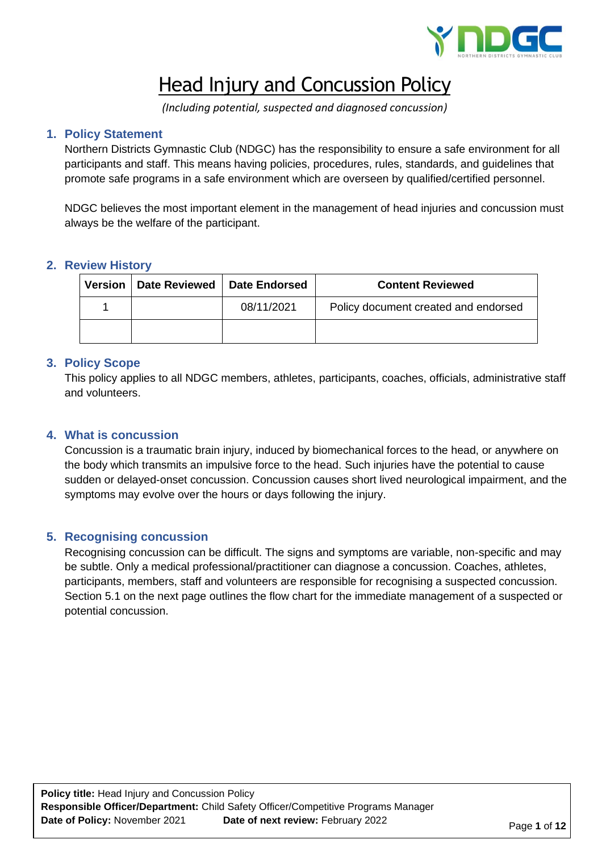

# Head Injury and Concussion Policy

*(Including potential, suspected and diagnosed concussion)*

# **1. Policy Statement**

Northern Districts Gymnastic Club (NDGC) has the responsibility to ensure a safe environment for all participants and staff. This means having policies, procedures, rules, standards, and guidelines that promote safe programs in a safe environment which are overseen by qualified/certified personnel.

NDGC believes the most important element in the management of head injuries and concussion must always be the welfare of the participant.

# **2. Review History**

| Version   Date Reviewed   Date Endorsed |            | <b>Content Reviewed</b>              |
|-----------------------------------------|------------|--------------------------------------|
|                                         | 08/11/2021 | Policy document created and endorsed |
|                                         |            |                                      |

# **3. Policy Scope**

This policy applies to all NDGC members, athletes, participants, coaches, officials, administrative staff and volunteers.

# **4. What is concussion**

Concussion is a traumatic brain injury, induced by biomechanical forces to the head, or anywhere on the body which transmits an impulsive force to the head. Such injuries have the potential to cause sudden or delayed-onset concussion. Concussion causes short lived neurological impairment, and the symptoms may evolve over the hours or days following the injury.

# **5. Recognising concussion**

Recognising concussion can be difficult. The signs and symptoms are variable, non-specific and may be subtle. Only a medical professional/practitioner can diagnose a concussion. Coaches, athletes, participants, members, staff and volunteers are responsible for recognising a suspected concussion. Section 5.1 on the next page outlines the flow chart for the immediate management of a suspected or potential concussion.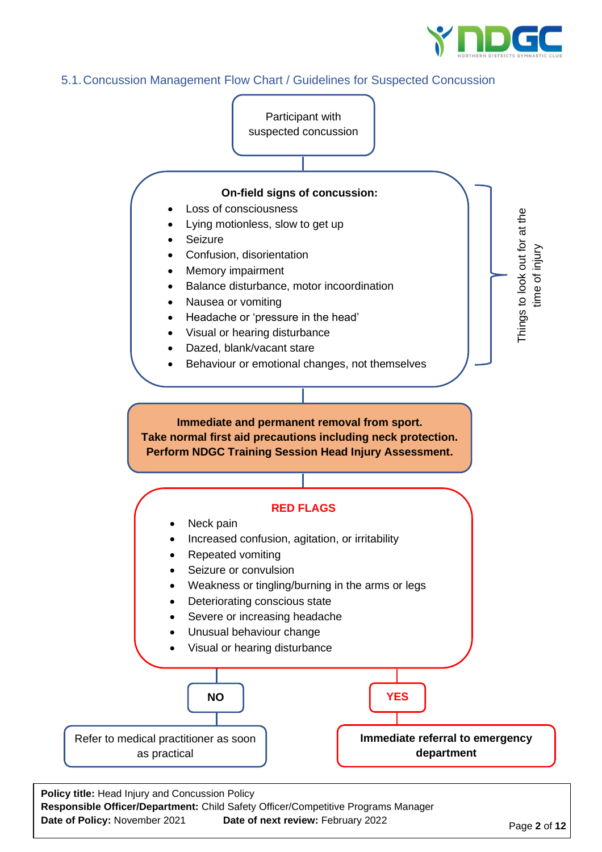

# 5.1.Concussion Management Flow Chart / Guidelines for Suspected Concussion



**Date of Policy:** November 2021 **Date of next review:** February 2022

Page **2** of **12**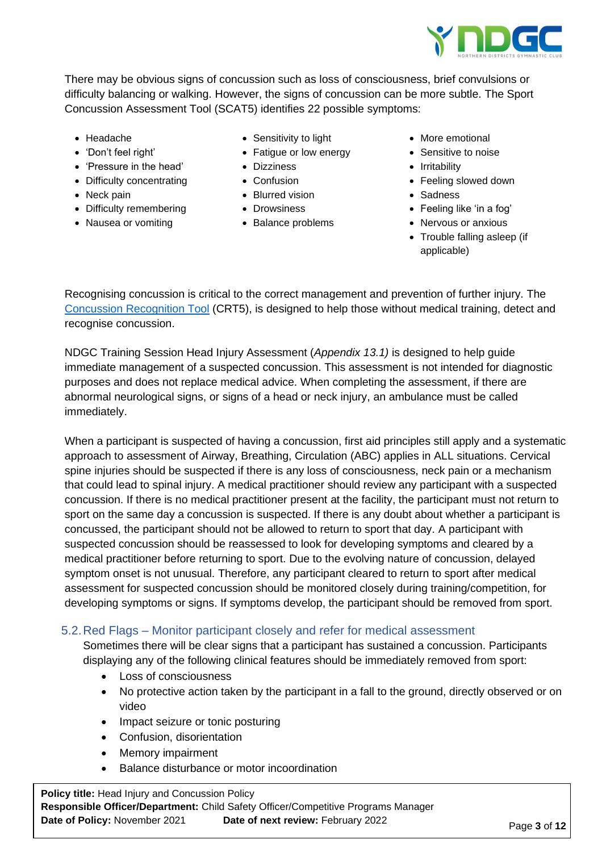

There may be obvious signs of concussion such as loss of consciousness, brief convulsions or difficulty balancing or walking. However, the signs of concussion can be more subtle. The Sport Concussion Assessment Tool (SCAT5) identifies 22 possible symptoms:

- Headache
- 'Don't feel right'
- 'Pressure in the head'
- Difficulty concentrating
- Neck pain
- Difficulty remembering
- Nausea or vomiting
- Sensitivity to light
- Fatigue or low energy
- Dizziness
- Confusion
- Blurred vision
- Drowsiness
- Balance problems
- More emotional
- Sensitive to noise
- Irritability
- Feeling slowed down
- Sadness
- Feeling like 'in a fog'
- Nervous or anxious
- Trouble falling asleep (if applicable)

Recognising concussion is critical to the correct management and prevention of further injury. The [Concussion Recognition Tool](https://bjsm.bmj.com/content/bjsports/early/2017/04/26/bjsports-2017-097508CRT5.full.pdf) (CRT5), is designed to help those without medical training, detect and recognise concussion.

NDGC Training Session Head Injury Assessment (*Appendix 13.1)* is designed to help guide immediate management of a suspected concussion. This assessment is not intended for diagnostic purposes and does not replace medical advice. When completing the assessment, if there are abnormal neurological signs, or signs of a head or neck injury, an ambulance must be called immediately.

When a participant is suspected of having a concussion, first aid principles still apply and a systematic approach to assessment of Airway, Breathing, Circulation (ABC) applies in ALL situations. Cervical spine injuries should be suspected if there is any loss of consciousness, neck pain or a mechanism that could lead to spinal injury. A medical practitioner should review any participant with a suspected concussion. If there is no medical practitioner present at the facility, the participant must not return to sport on the same day a concussion is suspected. If there is any doubt about whether a participant is concussed, the participant should not be allowed to return to sport that day. A participant with suspected concussion should be reassessed to look for developing symptoms and cleared by a medical practitioner before returning to sport. Due to the evolving nature of concussion, delayed symptom onset is not unusual. Therefore, any participant cleared to return to sport after medical assessment for suspected concussion should be monitored closely during training/competition, for developing symptoms or signs. If symptoms develop, the participant should be removed from sport.

# 5.2.Red Flags – Monitor participant closely and refer for medical assessment

Sometimes there will be clear signs that a participant has sustained a concussion. Participants displaying any of the following clinical features should be immediately removed from sport:

- Loss of consciousness
- No protective action taken by the participant in a fall to the ground, directly observed or on video
- Impact seizure or tonic posturing
- Confusion, disorientation
- Memory impairment
- Balance disturbance or motor incoordination

**Policy title:** Head Injury and Concussion Policy **Responsible Officer/Department:** Child Safety Officer/Competitive Programs Manager **Date of Policy:** November 2021 **Date of next review:** February 2022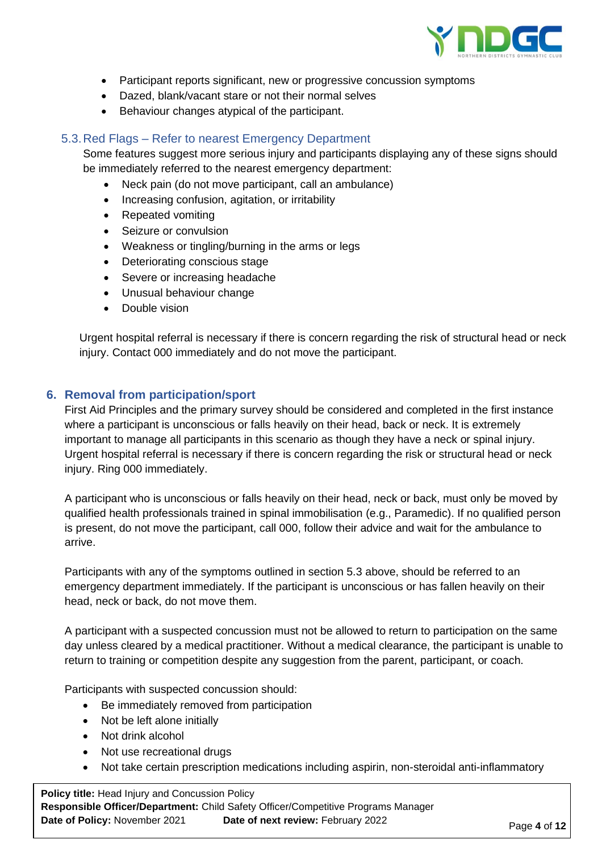

- Participant reports significant, new or progressive concussion symptoms
- Dazed, blank/vacant stare or not their normal selves
- Behaviour changes atypical of the participant.

# 5.3.Red Flags – Refer to nearest Emergency Department

Some features suggest more serious injury and participants displaying any of these signs should be immediately referred to the nearest emergency department:

- Neck pain (do not move participant, call an ambulance)
- Increasing confusion, agitation, or irritability
- Repeated vomiting
- Seizure or convulsion
- Weakness or tingling/burning in the arms or legs
- Deteriorating conscious stage
- Severe or increasing headache
- Unusual behaviour change
- Double vision

Urgent hospital referral is necessary if there is concern regarding the risk of structural head or neck injury. Contact 000 immediately and do not move the participant.

# **6. Removal from participation/sport**

First Aid Principles and the primary survey should be considered and completed in the first instance where a participant is unconscious or falls heavily on their head, back or neck. It is extremely important to manage all participants in this scenario as though they have a neck or spinal injury. Urgent hospital referral is necessary if there is concern regarding the risk or structural head or neck injury. Ring 000 immediately.

A participant who is unconscious or falls heavily on their head, neck or back, must only be moved by qualified health professionals trained in spinal immobilisation (e.g., Paramedic). If no qualified person is present, do not move the participant, call 000, follow their advice and wait for the ambulance to arrive.

Participants with any of the symptoms outlined in section 5.3 above, should be referred to an emergency department immediately. If the participant is unconscious or has fallen heavily on their head, neck or back, do not move them.

A participant with a suspected concussion must not be allowed to return to participation on the same day unless cleared by a medical practitioner. Without a medical clearance, the participant is unable to return to training or competition despite any suggestion from the parent, participant, or coach.

Participants with suspected concussion should:

- Be immediately removed from participation
- Not be left alone initially
- Not drink alcohol
- Not use recreational drugs
- Not take certain prescription medications including aspirin, non-steroidal anti-inflammatory

**Policy title:** Head Injury and Concussion Policy **Responsible Officer/Department:** Child Safety Officer/Competitive Programs Manager **Date of Policy:** November 2021 **Date of next review:** February 2022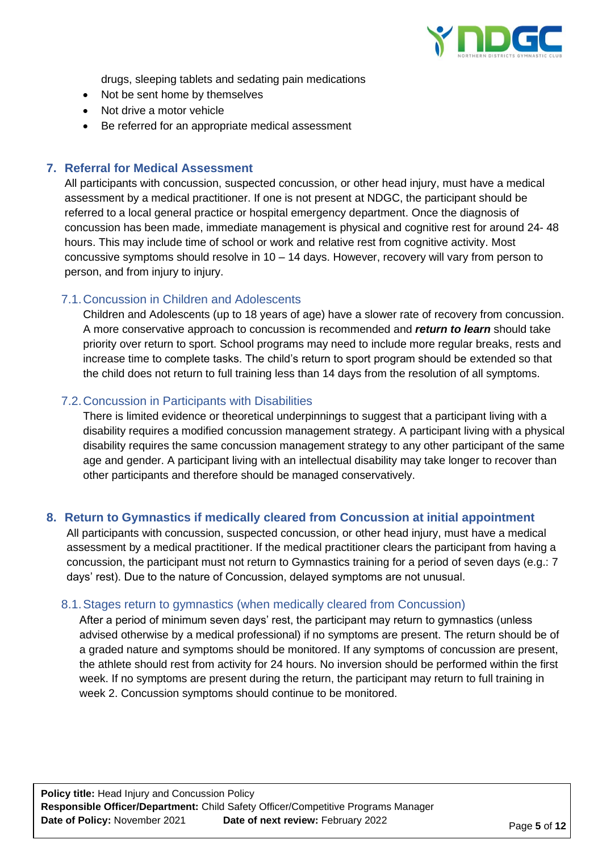

drugs, sleeping tablets and sedating pain medications

- Not be sent home by themselves
- Not drive a motor vehicle
- Be referred for an appropriate medical assessment

# **7. Referral for Medical Assessment**

All participants with concussion, suspected concussion, or other head injury, must have a medical assessment by a medical practitioner. If one is not present at NDGC, the participant should be referred to a local general practice or hospital emergency department. Once the diagnosis of concussion has been made, immediate management is physical and cognitive rest for around 24- 48 hours. This may include time of school or work and relative rest from cognitive activity. Most concussive symptoms should resolve in 10 – 14 days. However, recovery will vary from person to person, and from injury to injury.

## 7.1.Concussion in Children and Adolescents

Children and Adolescents (up to 18 years of age) have a slower rate of recovery from concussion. A more conservative approach to concussion is recommended and *return to learn* should take priority over return to sport. School programs may need to include more regular breaks, rests and increase time to complete tasks. The child's return to sport program should be extended so that the child does not return to full training less than 14 days from the resolution of all symptoms.

# 7.2.Concussion in Participants with Disabilities

There is limited evidence or theoretical underpinnings to suggest that a participant living with a disability requires a modified concussion management strategy. A participant living with a physical disability requires the same concussion management strategy to any other participant of the same age and gender. A participant living with an intellectual disability may take longer to recover than other participants and therefore should be managed conservatively.

# **8. Return to Gymnastics if medically cleared from Concussion at initial appointment**

All participants with concussion, suspected concussion, or other head injury, must have a medical assessment by a medical practitioner. If the medical practitioner clears the participant from having a concussion, the participant must not return to Gymnastics training for a period of seven days (e.g.: 7 days' rest). Due to the nature of Concussion, delayed symptoms are not unusual.

# 8.1.Stages return to gymnastics (when medically cleared from Concussion)

After a period of minimum seven days' rest, the participant may return to gymnastics (unless advised otherwise by a medical professional) if no symptoms are present. The return should be of a graded nature and symptoms should be monitored. If any symptoms of concussion are present, the athlete should rest from activity for 24 hours. No inversion should be performed within the first week. If no symptoms are present during the return, the participant may return to full training in week 2. Concussion symptoms should continue to be monitored.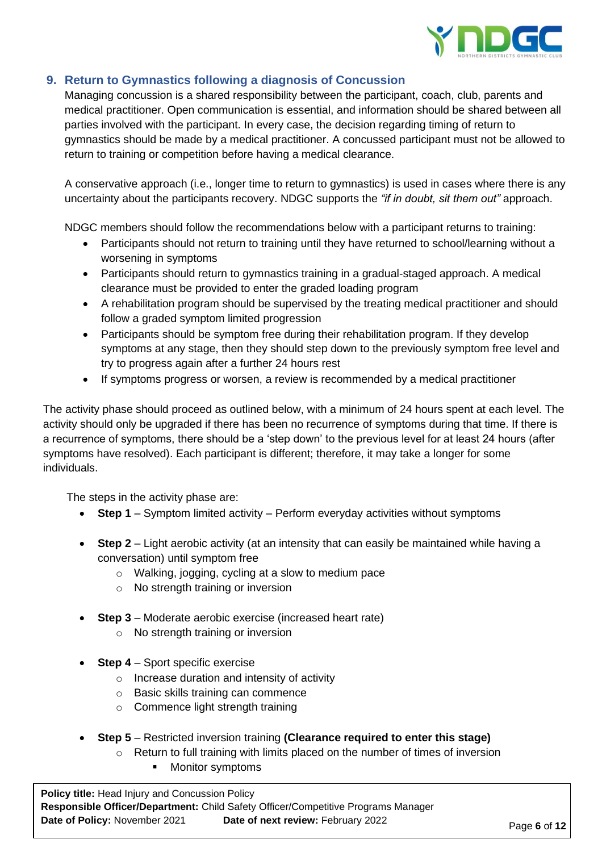

# **9. Return to Gymnastics following a diagnosis of Concussion**

Managing concussion is a shared responsibility between the participant, coach, club, parents and medical practitioner. Open communication is essential, and information should be shared between all parties involved with the participant. In every case, the decision regarding timing of return to gymnastics should be made by a medical practitioner. A concussed participant must not be allowed to return to training or competition before having a medical clearance.

A conservative approach (i.e., longer time to return to gymnastics) is used in cases where there is any uncertainty about the participants recovery. NDGC supports the *"if in doubt, sit them out"* approach.

NDGC members should follow the recommendations below with a participant returns to training:

- Participants should not return to training until they have returned to school/learning without a worsening in symptoms
- Participants should return to gymnastics training in a gradual-staged approach. A medical clearance must be provided to enter the graded loading program
- A rehabilitation program should be supervised by the treating medical practitioner and should follow a graded symptom limited progression
- Participants should be symptom free during their rehabilitation program. If they develop symptoms at any stage, then they should step down to the previously symptom free level and try to progress again after a further 24 hours rest
- If symptoms progress or worsen, a review is recommended by a medical practitioner

The activity phase should proceed as outlined below, with a minimum of 24 hours spent at each level. The activity should only be upgraded if there has been no recurrence of symptoms during that time. If there is a recurrence of symptoms, there should be a 'step down' to the previous level for at least 24 hours (after symptoms have resolved). Each participant is different; therefore, it may take a longer for some individuals.

The steps in the activity phase are:

- **Step 1** Symptom limited activity Perform everyday activities without symptoms
- **Step 2** Light aerobic activity (at an intensity that can easily be maintained while having a conversation) until symptom free
	- o Walking, jogging, cycling at a slow to medium pace
	- o No strength training or inversion
- **Step 3** Moderate aerobic exercise (increased heart rate)
	- o No strength training or inversion
- **Step 4** Sport specific exercise
	- o Increase duration and intensity of activity
	- o Basic skills training can commence
	- o Commence light strength training
- **Step 5** Restricted inversion training **(Clearance required to enter this stage)**
	- o Return to full training with limits placed on the number of times of inversion
		- **Monitor symptoms**

**Policy title:** Head Injury and Concussion Policy **Responsible Officer/Department:** Child Safety Officer/Competitive Programs Manager **Date of Policy:** November 2021 **Date of next review:** February 2022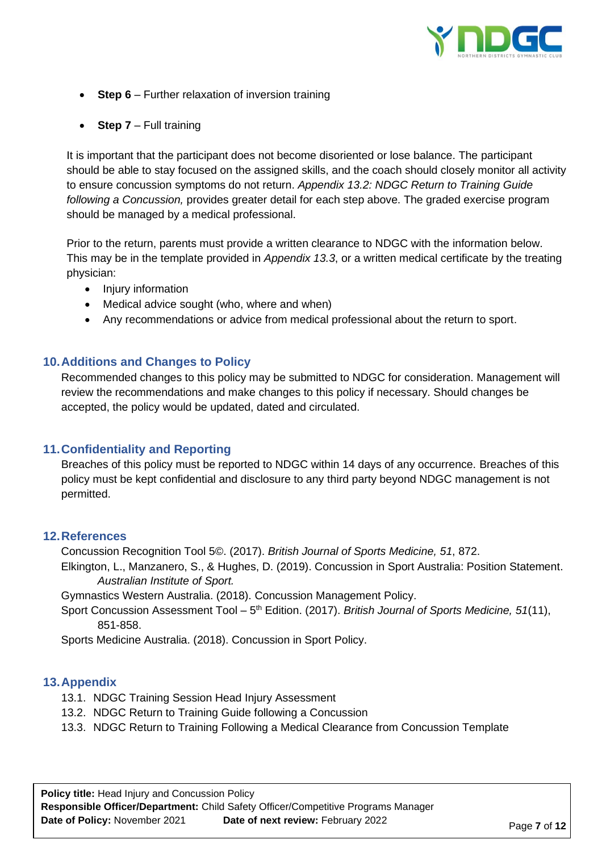

- **Step 6** Further relaxation of inversion training
- **Step 7** Full training

It is important that the participant does not become disoriented or lose balance. The participant should be able to stay focused on the assigned skills, and the coach should closely monitor all activity to ensure concussion symptoms do not return. *Appendix 13.2: NDGC Return to Training Guide following a Concussion,* provides greater detail for each step above. The graded exercise program should be managed by a medical professional.

Prior to the return, parents must provide a written clearance to NDGC with the information below. This may be in the template provided in *Appendix 13.3*, or a written medical certificate by the treating physician:

- Injury information
- Medical advice sought (who, where and when)
- Any recommendations or advice from medical professional about the return to sport.

# **10.Additions and Changes to Policy**

Recommended changes to this policy may be submitted to NDGC for consideration. Management will review the recommendations and make changes to this policy if necessary. Should changes be accepted, the policy would be updated, dated and circulated.

#### **11.Confidentiality and Reporting**

Breaches of this policy must be reported to NDGC within 14 days of any occurrence. Breaches of this policy must be kept confidential and disclosure to any third party beyond NDGC management is not permitted.

#### **12.References**

Concussion Recognition Tool 5©. (2017). *British Journal of Sports Medicine, 51*, 872.

Elkington, L., Manzanero, S., & Hughes, D. (2019). Concussion in Sport Australia: Position Statement. *Australian Institute of Sport.*

Gymnastics Western Australia. (2018). Concussion Management Policy.

Sport Concussion Assessment Tool – 5<sup>th</sup> Edition. (2017). *British Journal of Sports Medicine, 51*(11), 851-858.

Sports Medicine Australia. (2018). Concussion in Sport Policy.

#### **13.Appendix**

- 13.1. NDGC Training Session Head Injury Assessment
- 13.2. NDGC Return to Training Guide following a Concussion
- 13.3. NDGC Return to Training Following a Medical Clearance from Concussion Template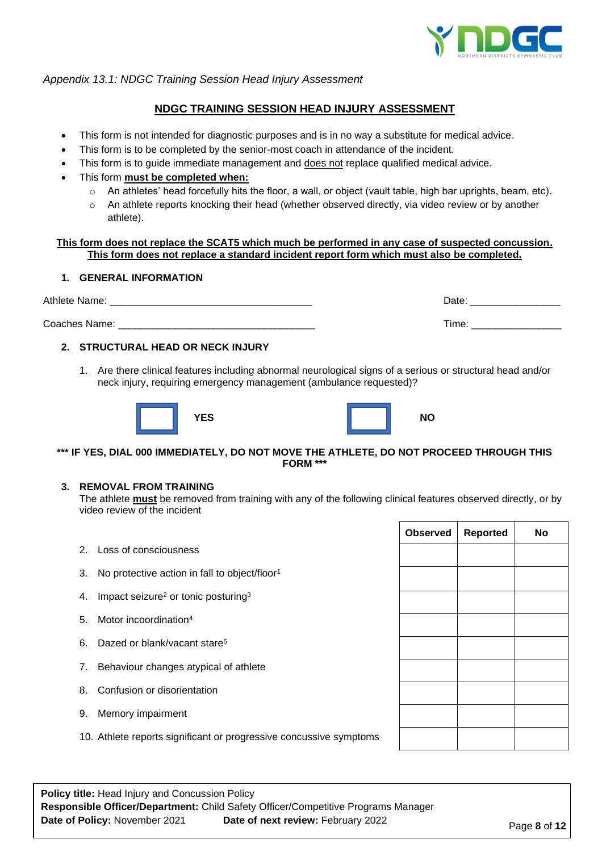

#### *Appendix 13.1: NDGC Training Session Head Injury Assessment*

### **NDGC TRAINING SESSION HEAD INJURY ASSESSMENT**

- This form is not intended for diagnostic purposes and is in no way a substitute for medical advice.
- This form is to be completed by the senior-most coach in attendance of the incident.
- This form is to guide immediate management and does not replace qualified medical advice.
- This form **must be completed when:**
	- o An athletes' head forcefully hits the floor, a wall, or object (vault table, high bar uprights, beam, etc).
	- $\circ$  An athlete reports knocking their head (whether observed directly, via video review or by another athlete).

#### **This form does not replace the SCAT5 which much be performed in any case of suspected concussion. This form does not replace a standard incident report form which must also be completed.**

#### **1. GENERAL INFORMATION**

Athlete Name: \_\_\_\_\_\_\_\_\_\_\_\_\_\_\_\_\_\_\_\_\_\_\_\_\_\_\_\_\_\_\_\_\_\_\_\_ Date: \_\_\_\_\_\_\_\_\_\_\_\_\_\_\_\_ Coaches Name: \_\_\_\_\_\_\_\_\_\_\_\_\_\_\_\_\_\_\_\_\_\_\_\_\_\_\_\_\_\_\_\_\_\_\_ Time: \_\_\_\_\_\_\_\_\_\_\_\_\_\_\_\_

#### **2. STRUCTURAL HEAD OR NECK INJURY**

1. Are there clinical features including abnormal neurological signs of a serious or structural head and/or neck injury, requiring emergency management (ambulance requested)?





#### **\*\*\* IF YES, DIAL 000 IMMEDIATELY, DO NOT MOVE THE ATHLETE, DO NOT PROCEED THROUGH THIS FORM \*\*\***

#### **3. REMOVAL FROM TRAINING**

The athlete **must** be removed from training with any of the following clinical features observed directly, or by video review of the incident

- 2. Loss of consciousness 3. No protective action in fall to object/floor<sup>1</sup>
- 4. Impact seizure<sup>2</sup> or tonic posturing<sup>3</sup>
- 5. Motor incoordination<sup>4</sup>
- 6. Dazed or blank/vacant stare<sup>5</sup>
- 7. Behaviour changes atypical of athlete
- 8. Confusion or disorientation
- 9. Memory impairment
- 10. Athlete reports significant or progressive concussive symptoms

**Policy title:** Head Injury and Concussion Policy **Responsible Officer/Department:** Child Safety Officer/Competitive Programs Manager **Date of Policy:** November 2021 **Date of next review:** February 2022

| <b>O</b> pservea | <b>Reported</b> | <b>NO</b> |
|------------------|-----------------|-----------|
|                  |                 |           |
|                  |                 |           |
|                  |                 |           |
|                  |                 |           |
|                  |                 |           |
|                  |                 |           |
|                  |                 |           |
|                  |                 |           |
|                  |                 |           |
|                  |                 |           |
|                  |                 |           |

**Observed Reported No**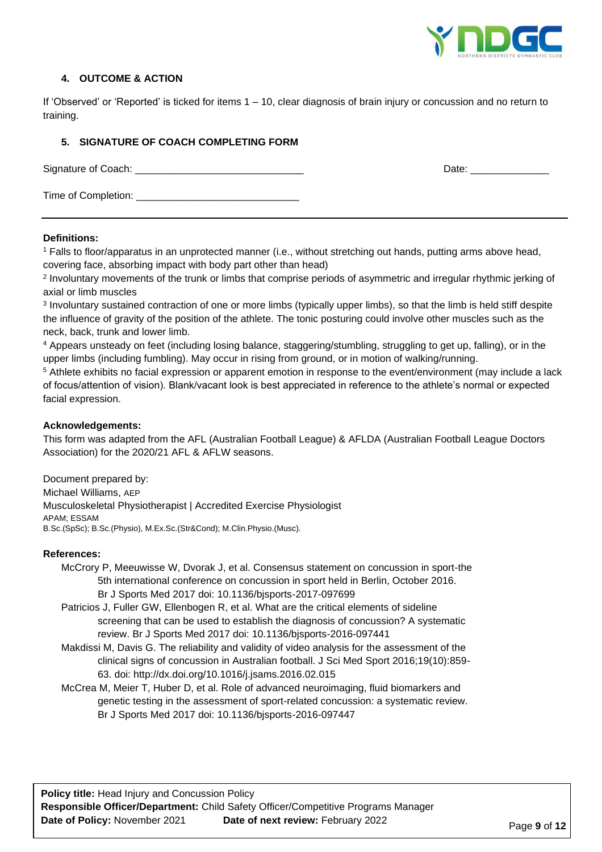

### **4. OUTCOME & ACTION**

If 'Observed' or 'Reported' is ticked for items 1 – 10, clear diagnosis of brain injury or concussion and no return to training.

#### **5. SIGNATURE OF COACH COMPLETING FORM**

Signature of Coach: \_\_\_\_\_\_\_\_\_\_\_\_\_\_\_\_\_\_\_\_\_\_\_\_\_\_\_\_\_\_ Date: \_\_\_\_\_\_\_\_\_\_\_\_\_\_ Time of Completion: \_\_\_\_\_\_\_\_\_\_\_\_\_\_\_\_\_\_\_\_\_\_\_\_\_\_\_\_\_

#### **Definitions:**

<sup>1</sup> Falls to floor/apparatus in an unprotected manner (i.e., without stretching out hands, putting arms above head, covering face, absorbing impact with body part other than head)

2 Involuntary movements of the trunk or limbs that comprise periods of asymmetric and irregular rhythmic jerking of axial or limb muscles

3 Involuntary sustained contraction of one or more limbs (typically upper limbs), so that the limb is held stiff despite the influence of gravity of the position of the athlete. The tonic posturing could involve other muscles such as the neck, back, trunk and lower limb.

<sup>4</sup> Appears unsteady on feet (including losing balance, staggering/stumbling, struggling to get up, falling), or in the upper limbs (including fumbling). May occur in rising from ground, or in motion of walking/running.

<sup>5</sup> Athlete exhibits no facial expression or apparent emotion in response to the event/environment (may include a lack of focus/attention of vision). Blank/vacant look is best appreciated in reference to the athlete's normal or expected facial expression.

#### **Acknowledgements:**

This form was adapted from the AFL (Australian Football League) & AFLDA (Australian Football League Doctors Association) for the 2020/21 AFL & AFLW seasons.

Document prepared by: Michael Williams, AEP Musculoskeletal Physiotherapist | Accredited Exercise Physiologist APAM; ESSAM B.Sc.(SpSc); B.Sc.(Physio), M.Ex.Sc.(Str&Cond); M.Clin.Physio.(Musc).

#### **References:**

McCrory P, Meeuwisse W, Dvorak J, et al. Consensus statement on concussion in sport-the 5th international conference on concussion in sport held in Berlin, October 2016. Br J Sports Med 2017 doi: 10.1136/bjsports-2017-097699

Patricios J, Fuller GW, Ellenbogen R, et al. What are the critical elements of sideline screening that can be used to establish the diagnosis of concussion? A systematic review. Br J Sports Med 2017 doi: 10.1136/bjsports-2016-097441

Makdissi M, Davis G. The reliability and validity of video analysis for the assessment of the clinical signs of concussion in Australian football. J Sci Med Sport 2016;19(10):859- 63. doi: http://dx.doi.org/10.1016/j.jsams.2016.02.015

McCrea M, Meier T, Huber D, et al. Role of advanced neuroimaging, fluid biomarkers and genetic testing in the assessment of sport-related concussion: a systematic review. Br J Sports Med 2017 doi: 10.1136/bjsports-2016-097447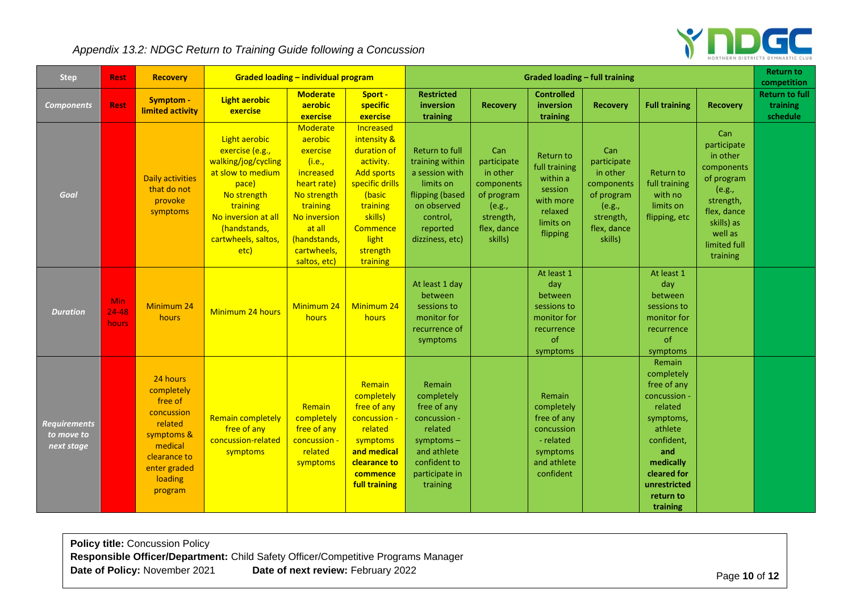# $\mathbf{Y}$ **NDGC**

# *Appendix 13.2: NDGC Return to Training Guide following a Concussion*

| <b>Step</b>                                     | <b>Rest</b>                      | <b>Recovery</b>                                                                                                                           | <b>Graded loading - individual program</b>                                                                                                                                             |                                                                                                                                                                                  | <b>Graded loading - full training</b>                                                                                                                                      |                                                                                                                                                      |                                                                                                             |                                                                                                        |                                                                                                             | <b>Return to</b><br>competition                                                                                                                                                         |                                                                                                                                                       |                                               |
|-------------------------------------------------|----------------------------------|-------------------------------------------------------------------------------------------------------------------------------------------|----------------------------------------------------------------------------------------------------------------------------------------------------------------------------------------|----------------------------------------------------------------------------------------------------------------------------------------------------------------------------------|----------------------------------------------------------------------------------------------------------------------------------------------------------------------------|------------------------------------------------------------------------------------------------------------------------------------------------------|-------------------------------------------------------------------------------------------------------------|--------------------------------------------------------------------------------------------------------|-------------------------------------------------------------------------------------------------------------|-----------------------------------------------------------------------------------------------------------------------------------------------------------------------------------------|-------------------------------------------------------------------------------------------------------------------------------------------------------|-----------------------------------------------|
| <b>Components</b>                               | <b>Rest</b>                      | Symptom -<br>limited activity                                                                                                             | <b>Light aerobic</b><br>exercise                                                                                                                                                       | <b>Moderate</b><br>aerobic<br>exercise                                                                                                                                           | Sport -<br>specific<br>exercise                                                                                                                                            | <b>Restricted</b><br>inversion<br>training                                                                                                           | <b>Recovery</b>                                                                                             | <b>Controlled</b><br>inversion<br>training                                                             | <b>Recovery</b>                                                                                             | <b>Full training</b>                                                                                                                                                                    | <b>Recovery</b>                                                                                                                                       | <b>Return to full</b><br>training<br>schedule |
| Goal                                            |                                  | <b>Daily activities</b><br>that do not<br>provoke<br>symptoms                                                                             | Light aerobic<br>exercise (e.g.,<br>walking/jog/cycling<br>at slow to medium<br>pace)<br>No strength<br>training<br>No inversion at all<br>(handstands,<br>cartwheels, saltos,<br>etc) | Moderate<br>aerobic<br>exercise<br>(i.e.,<br>increased<br>heart rate)<br>No strength<br>training<br><b>No inversion</b><br>at all<br>(handstands,<br>cartwheels,<br>saltos, etc) | Increased<br>intensity &<br>duration of<br>activity.<br><b>Add sports</b><br>specific drills<br>(basic<br>training<br>skills)<br>Commence<br>light<br>strength<br>training | <b>Return to full</b><br>training within<br>a session with<br>limits on<br>flipping (based<br>on observed<br>control,<br>reported<br>dizziness, etc) | Can<br>participate<br>in other<br>components<br>of program<br>(e.g.,<br>strength,<br>flex, dance<br>skills) | Return to<br>full training<br>within a<br>session<br>with more<br>relaxed<br>limits on<br>flipping     | Can<br>participate<br>in other<br>components<br>of program<br>(e.g.,<br>strength,<br>flex, dance<br>skills) | Return to<br>full training<br>with no<br>limits on<br>flipping, etc                                                                                                                     | Can<br>participate<br>in other<br>components<br>of program<br>(e.g.,<br>strength,<br>flex, dance<br>skills) as<br>well as<br>limited full<br>training |                                               |
| <b>Duration</b>                                 | <b>Min</b><br>$24 - 48$<br>hours | Minimum 24<br>hours                                                                                                                       | Minimum 24 hours                                                                                                                                                                       | Minimum 24<br>hours                                                                                                                                                              | Minimum 24<br>hours                                                                                                                                                        | At least 1 day<br>between<br>sessions to<br>monitor for<br>recurrence of<br>symptoms                                                                 |                                                                                                             | At least 1<br>day<br>between<br>sessions to<br>monitor for<br>recurrence<br>of<br>symptoms             |                                                                                                             | At least 1<br>day<br>between<br>sessions to<br>monitor for<br>recurrence<br>of<br>symptoms                                                                                              |                                                                                                                                                       |                                               |
| <b>Requirements</b><br>to move to<br>next stage |                                  | 24 hours<br>completely<br>free of<br>concussion<br>related<br>symptoms &<br>medical<br>clearance to<br>enter graded<br>loading<br>program | <b>Remain completely</b><br>free of any<br>concussion-related<br>symptoms                                                                                                              | Remain<br>completely<br>free of any<br>concussion -<br>related<br>symptoms                                                                                                       | Remain<br>completely<br>free of any<br>concussion -<br>related<br>symptoms<br>and medical<br>clearance to<br>commence<br>full training                                     | Remain<br>completely<br>free of any<br>concussion -<br>related<br>symptoms-<br>and athlete<br>confident to<br>participate in<br>training             |                                                                                                             | Remain<br>completely<br>free of any<br>concussion<br>- related<br>symptoms<br>and athlete<br>confident |                                                                                                             | <b>Remain</b><br>completely<br>free of any<br>concussion -<br>related<br>symptoms,<br>athlete<br>confident,<br>and<br>medically<br>cleared for<br>unrestricted<br>return to<br>training |                                                                                                                                                       |                                               |

**Policy title:** Concussion Policy **Responsible Officer/Department:** Child Safety Officer/Competitive Programs Manager **Date of Policy:** November 2021 **Date of next review:** February 2022 **Page 10** of 12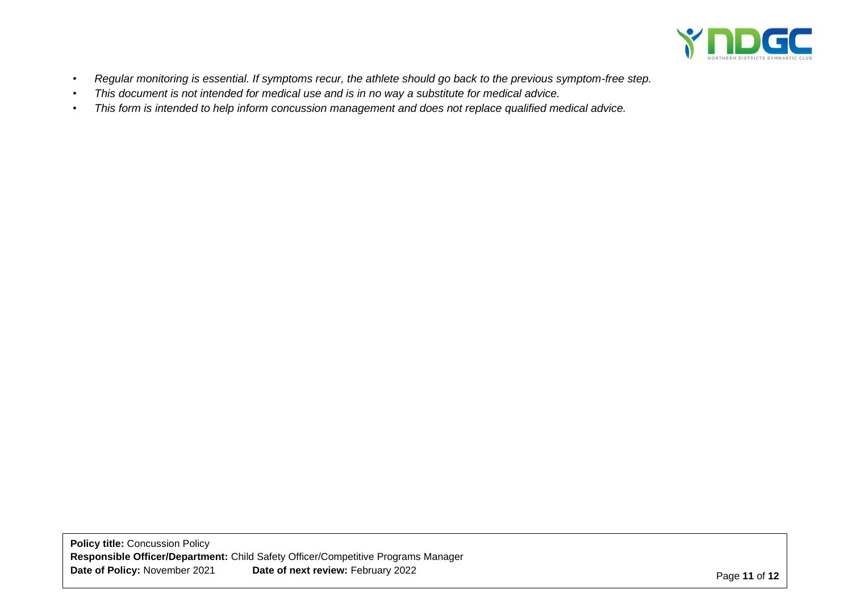

- *• Regular monitoring is essential. If symptoms recur, the athlete should go back to the previous symptom-free step.*
- *• This document is not intended for medical use and is in no way a substitute for medical advice.*
- *• This form is intended to help inform concussion management and does not replace qualified medical advice.*